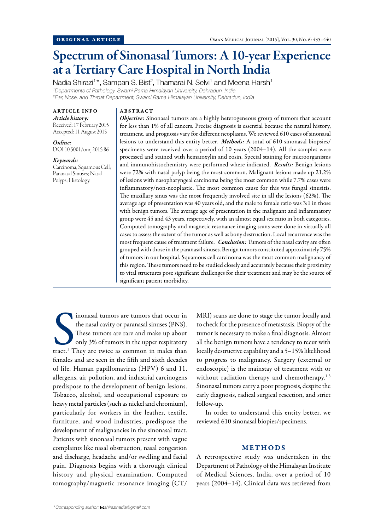# Spectrum of Sinonasal Tumors: A 10-year Experience at a Tertiary Care Hospital in North India

Nadia Shirazi<sup>1\*</sup>, Sampan S. Bist<sup>2</sup>, Thamarai N. Selvi<sup>1</sup> and Meena Harsh<sup>1</sup> *1 Departments of Pathology, Swami Rama Himalayan University, Dehradun, India 2 Ear, Nose, and Throat Department, Swami Rama Himalayan University, Dehradun, India*

ARTICLE INFO *Article history:*  Received: 17 February 2015 Accepted: 11 August 2015

*Online:* DOI 10.5001/omj.2015.86

*Keywords:*  Carcinoma, Squamous Cell; Paranasal Sinuses; Nasal Polyps; Histology.

### ABSTRACT

*Objective:* Sinonasal tumors are a highly heterogeneous group of tumors that account for less than 1% of all cancers. Precise diagnosis is essential because the natural history, treatment, and prognosis vary for different neoplasms. We reviewed 610 cases of sinonasal lesions to understand this entity better. *Methods:* A total of 610 sinonasal biopsies/ specimens were received over a period of 10 years (2004–14). All the samples were processed and stained with hematoxylin and eosin. Special staining for microorganisms and immunohistochemistry were performed where indicated. *Results:* Benign lesions were 72% with nasal polyp being the most common. Malignant lesions made up 21.2% of lesions with nasopharyngeal carcinoma being the most common while 7.7% cases were inflammatory/non-neoplastic. The most common cause for this was fungal sinusitis. The maxillary sinus was the most frequently involved site in all the lesions (62%). The average age of presentation was 40 years old, and the male to female ratio was 3:1 in those with benign tumors. The average age of presentation in the malignant and inflammatory group were 45 and 43 years, respectively, with an almost equal sex ratio in both categories. Computed tomography and magnetic resonance imaging scans were done in virtually all cases to assess the extent of the tumor as well as bony destruction. Local recurrence was the most frequent cause of treatment failure. *Conclusion:* Tumors of the nasal cavity are often grouped with those in the paranasal sinuses. Benign tumors constituted approximately 75% of tumors in our hospital. Squamous cell carcinoma was the most common malignancy of this region. These tumors need to be studied closely and accurately because their proximity to vital structures pose significant challenges for their treatment and may be the source of significant patient morbidity.

inonasal tumors are tumors that occur in<br>the nasal cavity or paranasal sinuses (PNS).<br>These tumors are rare and make up about<br>only 3% of tumors in the upper respiratory<br>tract.<sup>1</sup> They are twice as common in males than inonasal tumors are tumors that occur in the nasal cavity or paranasal sinuses (PNS). These tumors are rare and make up about only 3% of tumors in the upper respiratory females and are seen in the fifth and sixth decades of life. Human papillomavirus (HPV) 6 and 11, allergens, air pollution, and industrial carcinogens predispose to the development of benign lesions. Tobacco, alcohol, and occupational exposure to heavy metal particles (such as nickel and chromium), particularly for workers in the leather, textile, furniture, and wood industries, predispose the development of malignancies in the sinonasal tract. Patients with sinonasal tumors present with vague complaints like nasal obstruction, nasal congestion and discharge, headache and/or swelling and facial pain. Diagnosis begins with a thorough clinical history and physical examination. Computed tomography/magnetic resonance imaging (CT/

MRI) scans are done to stage the tumor locally and to check for the presence of metastasis. Biopsy of the tumor is necessary to make a final diagnosis. Almost all the benign tumors have a tendency to recur with locally destructive capability and a 5–15% likelihood to progress to malignancy. Surgery (external or endoscopic) is the mainstay of treatment with or without radiation therapy and chemotherapy.<sup>1-3</sup> Sinonasal tumors carry a poor prognosis, despite the early diagnosis, radical surgical resection, and strict follow-up.

In order to understand this entity better, we reviewed 610 sinonasal biopies/specimens.

## METHODS

A retrospective study was undertaken in the Department of Pathology of the Himalayan Institute of Medical Sciences, India, over a period of 10 years (2004–14). Clinical data was retrieved from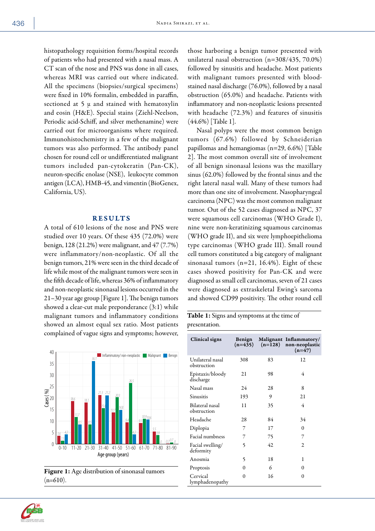histopathology requisition forms/hospital records of patients who had presented with a nasal mass. A CT scan of the nose and PNS was done in all cases, whereas MRI was carried out where indicated. All the specimens (biopsies/surgical specimens) were fixed in 10% formalin, embedded in paraffin, sectioned at 5  $\mu$  and stained with hematoxylin and eosin (H&E). Special stains (Ziehl-Neelson, Periodic acid-Schiff, and silver methenamine) were carried out for microorganisms where required. Immunohistochemistry in a few of the malignant tumors was also performed. The antibody panel chosen for round cell or undifferentiated malignant tumors included pan-cytokeratin (Pan-CK), neuron-specific enolase (NSE), leukocyte common antigen (LCA), HMB-45, and vimentin (BioGenex, California, US).

## RESULTS

A total of 610 lesions of the nose and PNS were studied over 10 years. Of these 435 (72.0%) were benign, 128 (21.2%) were malignant, and 47 (7.7%) were inflammatory/non-neoplastic. Of all the benign tumors, 21% were seen in the third decade of life while most of the malignant tumors were seen in the fifth decade of life, whereas 36% of inflammatory and non-neoplastic sinonasal lesions occurred in the 21–30 year age group [Figure 1]. The benign tumors showed a clear-cut male preponderance (3:1) while malignant tumors and inflammatory conditions showed an almost equal sex ratio. Most patients complained of vague signs and symptoms; however,





those harboring a benign tumor presented with unilateral nasal obstruction (n=308/435, 70.0%) followed by sinusitis and headache. Most patients with malignant tumors presented with bloodstained nasal discharge (76.0%), followed by a nasal obstruction (65.0%) and headache. Patients with inflammatory and non-neoplastic lesions presented with headache (72.3%) and features of sinusitis (44.6%) [Table 1].

Nasal polyps were the most common benign tumors (67.6%) followed by Schneiderian papillomas and hemangiomas (n=29, 6.6%) [Table 2]. The most common overall site of involvement of all benign sinonasal lesions was the maxillary sinus (62.0%) followed by the frontal sinus and the right lateral nasal wall. Many of these tumors had more than one site of involvement. Nasopharyngeal carcinoma (NPC) was the most common malignant tumor. Out of the 52 cases diagnosed as NPC, 37 were squamous cell carcinomas (WHO Grade I), nine were non-keratinizing squamous carcinomas (WHO grade II), and six were lymphoepithelioma type carcinomas (WHO grade III). Small round cell tumors constituted a big category of malignant sinonasal tumors (n=21, 16.4%). Eight of these cases showed positivity for Pan-CK and were diagnosed as small cell carcinomas, seven of 21 cases were diagnosed as extraskeletal Ewing's sarcoma and showed CD99 positivity. The other round cell

Table 1: Signs and symptoms at the time of presentation.

| Clinical signs                  | Benign<br>$(n=435)$ | $(n=128)$ | Malignant Inflammatory/<br>non-neoplastic<br>$(n=47)$ |
|---------------------------------|---------------------|-----------|-------------------------------------------------------|
| Unilateral nasal<br>obstruction | 308                 | 83        | 12                                                    |
| Epistaxis/bloody<br>discharge   | 21                  | 98        | 4                                                     |
| Nasal mass                      | 24                  | 28        | 8                                                     |
| Sinusitis                       | 193                 | 9         | 21                                                    |
| Bilateral nasal<br>obstruction  | 11                  | 35        | 4                                                     |
| Headache                        | 28                  | 84        | 34                                                    |
| Diplopia                        | 7                   | 17        | $\theta$                                              |
| Facial numbness                 | 7                   | 75        | 7                                                     |
| Facial swelling/<br>deformity   | 5                   | 42        | $\overline{c}$                                        |
| Anosmia                         | 5                   | 18        | 1                                                     |
| Proptosis                       | $\Omega$            | 6         | 0                                                     |
| Cervical<br>lymphadenopathy     | $\Omega$            | 16        | 0                                                     |

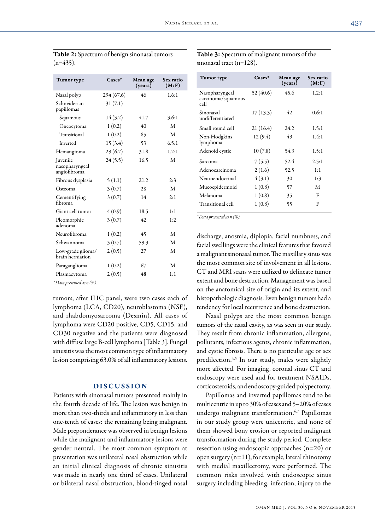| Tumor type                                        | $\text{Case}$ | Mean age<br>(vears) | Sex ratio<br>(M: F) |
|---------------------------------------------------|---------------|---------------------|---------------------|
| Nasal polyp                                       | 294(67.6)     | 46                  | 1.6:1               |
| Schneiderian<br>papillomas                        | 31(7.1)       |                     |                     |
| Squamous                                          | 14(3.2)       | 41.7                | 3.6:1               |
| Oncocytoma                                        | 1(0.2)        | 40                  | M                   |
| Transitional                                      | 1(0.2)        | 85                  | M                   |
| Inverted                                          | 15(3.4)       | 53                  | 6.5:1               |
| Hemangioma                                        | 29(6.7)       | 31.8                | 1.2:1               |
| <b>Iuvenile</b><br>nasopharyngeal<br>angiofibroma | 24(5.5)       | 16.5                | M                   |
| Fibrous dysplasia                                 | 5(1.1)        | 21.2                | 2:3                 |
| Osteoma                                           | 3(0.7)        | 28                  | M                   |
| Cementifying<br>fibroma                           | 3(0.7)        | 14                  | 2:1                 |
| Giant cell tumor                                  | 4(0.9)        | 18.5                | 1:1                 |
| Pleomorphic<br>adenoma                            | 3(0.7)        | 42.                 | 1:2                 |
| Neurofibroma                                      | 1(0.2)        | 45                  | M                   |
| Schwannoma                                        | 3(0.7)        | 59.3                | M                   |
| Low-grade glioma/<br>brain herniation             | 2(0.5)        | 27                  | M                   |
| Paraganglioma                                     | 1(0.2)        | 67                  | M                   |
| Plasmacytoma                                      | 2(0.5)        | 48                  | 1:1                 |

| Table 2: Spectrum of benign sinonasal tumors |  |
|----------------------------------------------|--|
| $(n=435)$ .                                  |  |

*\* Data presented as n (%).*

tumors, after IHC panel, were two cases each of lymphoma (LCA, CD20), neuroblastoma (NSE), and rhabdomyosarcoma (Desmin). All cases of lymphoma were CD20 positive, CD5, CD15, and CD30 negative and the patients were diagnosed with diffuse large B-cell lymphoma [Table 3]. Fungal sinusitis was the most common type of inflammatory lesion comprising 63.0% of all inflammatory lesions.

### DISCUSSION

Patients with sinonasal tumors presented mainly in the fourth decade of life. The lesion was benign in more than two-thirds and inflammatory in less than one-tenth of cases: the remaining being malignant. Male preponderance was observed in benign lesions while the malignant and inflammatory lesions were gender neutral. The most common symptom at presentation was unilateral nasal obstruction while an initial clinical diagnosis of chronic sinusitis was made in nearly one third of cases. Unilateral or bilateral nasal obstruction, blood-tinged nasal

| <b>Table 3:</b> Spectrum of malignant tumors of the |
|-----------------------------------------------------|
| sinonasal tract $(n=128)$ .                         |

| Tumor type                                   | $\mathbf{C}$ ases $*$ | Mean age<br>(years) | Sex ratio<br>(M: F) |
|----------------------------------------------|-----------------------|---------------------|---------------------|
| Nasopharyngeal<br>carcinoma/squamous<br>cell | 52 (40.6)             | 45.6                | 1.2:1               |
| Sinonasal<br>undifferentiated                | 17 (13.3)             | 42                  | 0.6:1               |
| Small round cell                             | 21 (16.4)             | 24.2                | 1.5:1               |
| Non-Hodgkins<br>lymphoma                     | 12(9.4)               | 49                  | 1.4:1               |
| Adenoid cystic                               | 10(7.8)               | 54.3                | 1.5:1               |
| Sarcoma                                      | 7(5.5)                | 52.4                | 2.5:1               |
| Adenocarcinoma                               | 2(1.6)                | 52.5                | 1:1                 |
| Neuroendocrinal                              | 4(3.1)                | 30                  | 1:3                 |
| Mucoepidermoid                               | 1(0.8)                | 57                  | M                   |
| Melanoma                                     | 1(0.8)                | 35                  | F                   |
| Transitional cell                            | 1(0.8)                | 55                  | F                   |

*\* Data presented as n (%).*

discharge, anosmia, diplopia, facial numbness, and facial swellings were the clinical features that favored a malignant sinonasal tumor. The maxillary sinus was the most common site of involvement in all lesions. CT and MRI scans were utilized to delineate tumor extent and bone destruction. Management was based on the anatomical site of origin and its extent, and histopathologic diagnosis. Even benign tumors had a tendency for local recurrence and bone destruction.

Nasal polyps are the most common benign tumors of the nasal cavity, as was seen in our study. They result from chronic inflammation, allergens, pollutants, infectious agents, chronic inflammation, and cystic fibrosis. There is no particular age or sex predilection.<sup>4,5</sup> In our study, males were slightly more affected. For imaging, coronal sinus CT and endoscopy were used and for treatment NSAIDs, corticosteroids, and endoscopy-guided polypectomy.

Papillomas and inverted papillomas tend to be multicentric in up to 30% of cases and 5–20% of cases undergo malignant transformation.6,7 Papillomas in our study group were unicentric, and none of them showed bony erosion or reported malignant transformation during the study period. Complete resection using endoscopic approaches (n=20) or open surgery (n=11), for example, lateral rhinotomy with medial maxillectomy, were performed. The common risks involved with endoscopic sinus surgery including bleeding, infection, injury to the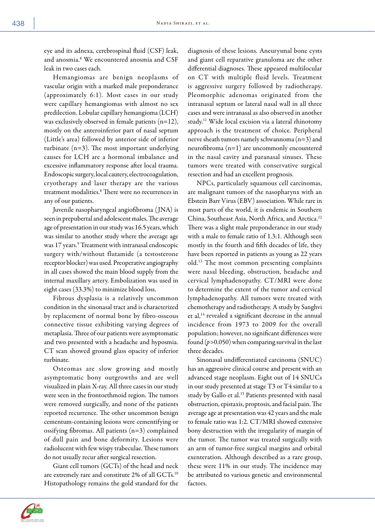eye and its adnexa, cerebrospinal fluid (CSF) leak, and anosmia.8 We encountered anosmia and CSF leak in two cases each.

Hemangiomas are benign neoplasms of vascular origin with a marked male preponderance (approximately 6:1). Most cases in our study were capillary hemangiomas with almost no sex predilection. Lobular capillary hemangioma (LCH) was exclusively observed in female patients (n=12), mostly on the anteroinferior part of nasal septum (Little's area) followed by anterior side of inferior turbinate (n=3). The most important underlying causes for LCH are a hormonal imbalance and excessive inflammatory response after local trauma. Endoscopic surgery, local cautery, electrocoagulation, cryotherapy and laser therapy are the various treatment modalities.8 There were no recurrences in any of our patients.

Juvenile nasopharyngeal angiofibroma ( JNA) is seen in prepubertal and adolescent males. The average age of presentation in our study was 16.5 years, which was similar to another study where the average age was 17 years.<sup>9</sup> Treatment with intranasal endoscopic surgery with/without flutamide (a testosterone receptor blocker) was used. Preoperative angiography in all cases showed the main blood supply from the internal maxillary artery. Embolization was used in eight cases (33.3%) to minimize blood loss.

Fibrous dysplasia is a relatively uncommon condition in the sinonasal tract and is characterized by replacement of normal bone by fibro-osseous connective tissue exhibiting varying degrees of metaplasia. Three of our patients were asymptomatic and two presented with a headache and hyposmia. CT scan showed ground glass opacity of inferior turbinate.

Osteomas are slow growing and mostly asymptomatic bony outgrowths and are well visualized in plain X-ray. All three cases in our study were seen in the frontoethmoid region. The tumors were removed surgically, and none of the patients reported recurrence. The other uncommon benign cementum-containing lesions were cementifying or ossifying fibromas. All patients (n=3) complained of dull pain and bone deformity. Lesions were radiolucent with few wispy trabeculae. These tumors do not usually recur after surgical resection.

Giant cell tumors (GCTs) of the head and neck are extremely rare and constitute 2% of all GCTs.<sup>10</sup> Histopathology remains the gold standard for the diagnosis of these lesions. Aneurysmal bone cysts and giant cell reparative granuloma are the other differential diagnoses. These appeared multilocular on CT with multiple fluid levels. Treatment is aggressive surgery followed by radiotherapy. Pleomorphic adenomas originated from the intranasal septum or lateral nasal wall in all three cases and were intranasal as also observed in another study.11 Wide local excision via a lateral rhinotomy approach is the treatment of choice. Peripheral nerve sheath tumors namely schwannoma (n=3) and neurofibroma (n=1) are uncommonly encountered in the nasal cavity and paranasal sinuses. These tumors were treated with conservative surgical resection and had an excellent prognosis.

NPCs, particularly squamous cell carcinomas, are malignant tumors of the nasopharynx with an Ebstein Barr Virus (EBV) association. While rare in most parts of the world, it is endemic in Southern China, Southeast Asia, North Africa, and Arctica.12 There was a slight male preponderance in our study with a male to female ratio of 1.3:1. Although seen mostly in the fourth and fifth decades of life, they have been reported in patients as young as 22 years old.13 The most common presenting complaints were nasal bleeding, obstruction, headache and cervical lymphadenopathy. CT/MRI were done to determine the extent of the tumor and cervical lymphadenopathy. All tumors were treated with chemotherapy and radiotherapy. A study by Sanghvi et al,<sup>14</sup> revealed a significant decrease in the annual incidence from 1973 to 2009 for the overall population; however, no significant differences were found (*p>*0.050) when comparing survival in the last three decades.

Sinonasal undifferentiated carcinoma (SNUC) has an aggressive clinical course and present with an advanced stage neoplasm. Eight out of 14 SNUCs in our study presented at stage T3 or T4 similar to a study by Gallo et al.<sup>15</sup> Patients presented with nasal obstruction, epistaxis, proptosis, and facial pain. The average age at presentation was 42 years and the male to female ratio was 1:2. CT/MRI showed extensive bony destruction with the irregularity of margin of the tumor. The tumor was treated surgically with an arm of tumor-free surgical margins and orbital exenteration. Although described as a rare group, these were 11% in our study. The incidence may be attributed to various genetic and environmental factors.

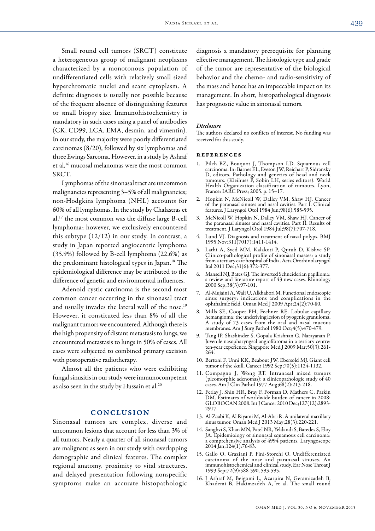Small round cell tumors (SRCT) constitute a heterogeneous group of malignant neoplasms characterized by a monotonous population of undifferentiated cells with relatively small sized hyperchromatic nuclei and scant cytoplasm. A definite diagnosis is usually not possible because of the frequent absence of distinguishing features or small biopsy size. Immunohistochemistry is mandatory in such cases using a panel of antibodies (CK, CD99, LCA, EMA, desmin, and vimentin). In our study, the majority were poorly differentiated carcinomas (8/20), followed by six lymphomas and three Ewings Sarcoma. However, in a study by Ashraf et al,16 mucosal melanomas were the most common SRCT.

Lymphomas of the sinonasal tract are uncommon malignancies representing 3–5% of all malignancies; non-Hodgkins lymphoma (NHL) accounts for 60% of all lymphomas. In the study by Chalastras et al,17 the most common was the diffuse large B-cell lymphoma; however, we exclusively encountered this subtype (12/12) in our study. In contrast, a study in Japan reported angiocentric lymphoma (35.9%) followed by B-cell lymphoma (22.6%) as the predominant histological types in Japan.18 The epidemiological difference may be attributed to the difference of genetic and environmental influences.

Adenoid cystic carcinoma is the second most common cancer occurring in the sinonasal tract and usually invades the lateral wall of the nose.<sup>19</sup> However, it constituted less than 8% of all the malignant tumors we encountered. Although there is the high propensity of distant metastasis to lungs, we encountered metastasis to lungs in 50% of cases. All cases were subjected to combined primary excision with postoperative radiotherapy.

Almost all the patients who were exhibiting fungal sinusitis in our study were immunocompetent as also seen in the study by Hussain et al.20

#### **CONCLUSION**

Sinonasal tumors are complex, diverse and uncommon lesions that account for less than 3% of all tumors. Nearly a quarter of all sinonasal tumors are malignant as seen in our study with overlapping demographic and clinical features. The complex regional anatomy, proximity to vital structures, and delayed presentation following nonspecific symptoms make an accurate histopathologic diagnosis a mandatory prerequisite for planning effective management. The histologic type and grade of the tumor are representative of the biological behavior and the chemo- and radio-sensitivity of the mass and hence has an impeccable impact on its management. In short, histopathological diagnosis has prognostic value in sinonasal tumors.

#### *Disclosure*

The authors declared no conflicts of interest. No funding was received for this study.

#### references

- 1. Pilch BZ, Bouquot J, Thompson LD. Squamous cell carcinoma. In: Barnes EL, Eveson JW, Reichart P, Sidransky D, editors. Pathology and genetics of head and neck tumours. (Kleihues P, Sobin LH, series editors). World Health Organization classification of tumours. Lyon, France: IARC Press; 2005. p. 15–17.
- 2. Hopkin N, McNicoll W, Dalley VM, Shaw HJ. Cancer of the paranasal sinuses and nasal cavities. Part I. Clinical features. J Laryngol Otol 1984 Jun;98(6):585-595.
- 3. McNicoll W, Hopkin N, Dalley VM, Shaw HJ. Cancer of the paranasal sinuses and nasal cavities. Part II. Results of treatment. J Laryngol Otol 1984 Jul;98(7):707-718.
- 4. Lund VJ. Diagnosis and treatment of nasal polyps. BMJ 1995 Nov;311(7017):1411-1414.
- 5. Lathi A, Syed MM, Kalakoti P, Qutub D, Kishve SP. Clinico-pathological profile of sinonasal masses: a study from a tertiary care hospital of India. Acta Otorhinolaryngol Ital 2011 Dec;31(6):372-377.
- 6. Mansell NJ, Bates GJ. The inverted Schneiderian papilloma: a review and literature report of 43 new cases. Rhinology 2000 Sep;38(3):97-101.
- 7. Al-Mujaini A, Wali U, Alkhabori M. Functional endoscopic sinus surgery: indications and complications in the ophthalmic field. Oman Med J 2009 Apr;24(2):70-80.
- 8. Mills SE, Cooper PH, Fechner RE. Lobular capillary hemangioma: the underlying lesion of pyogenic granuloma. A study of 73 cases from the oral and nasal mucous membranes. Am J Surg Pathol 1980 Oct;4(5):470-479.
- 9. Tang IP, Shashinder S, Gopala Krishnan G, Narayanan P. Juvenile nasopharyngeal angiofibroma in a tertiary centre: ten-year experience. Singapore Med J 2009 Mar;50(3):261- 264.
- 10. Bertoni F, Unni KK, Beabout JW, Ebersold MJ. Giant cell tumor of the skull. Cancer 1992 Sep;70(5):1124-1132.
- 11. Compagno J, Wong RT. Intranasal mixed tumors (pleomorphic adenomas): a clinicopathologic study of 40 cases. Am J Clin Pathol 1977 Aug;68(2):213-218.
- 12. Ferlay J, Shin HR, Bray F, Forman D, Mathers C, Parkin DM. Estimates of worldwide burden of cancer in 2008: GLOBOCAN 2008. Int J Cancer 2010 Dec;127(12):2893- 2917.
- 13. Al-Zaabi K, Al Riyami M, Al-Abri R. A unilateral maxillary sinus tumor. Oman Med J 2013 May;28(3):220-221.
- 14. Sanghvi S, Khan MN, Patel NR, Yeldandi S, Baredes S, Eloy JA. Epidemiology of sinonasal squamous cell carcinoma: a comprehensive analysis of 4994 patients. Laryngoscope 2014 Jan;124(1):76-83.
- 15. Gallo O, Graziani P, Fini-Storchi O. Undifferentiated carcinoma of the nose and paranasal sinuses. An immunohistochemical and clinical study. Ear Nose Throat J 1993 Sep;72(9):588-590, 593-595.
- 16. J Ashraf M, Beigomi L, Azarpira N, Geramizadeh B, Khademi B, Hakimzadeh A, et al. The small round